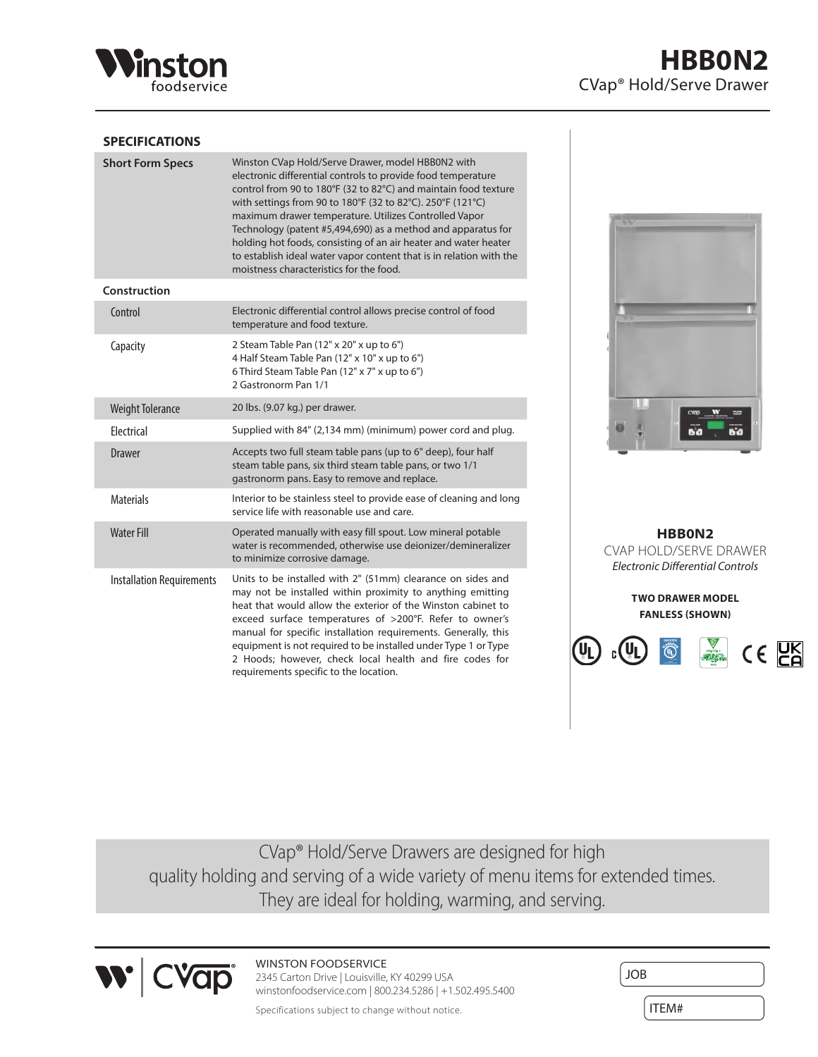

## **SPECIFICATIONS**

| <b>Short Form Specs</b>          | Winston CVap Hold/Serve Drawer, model HBB0N2 with<br>electronic differential controls to provide food temperature<br>control from 90 to 180°F (32 to 82°C) and maintain food texture<br>with settings from 90 to 180°F (32 to 82°C). 250°F (121°C)<br>maximum drawer temperature. Utilizes Controlled Vapor<br>Technology (patent #5,494,690) as a method and apparatus for<br>holding hot foods, consisting of an air heater and water heater<br>to establish ideal water vapor content that is in relation with the<br>moistness characteristics for the food. |
|----------------------------------|------------------------------------------------------------------------------------------------------------------------------------------------------------------------------------------------------------------------------------------------------------------------------------------------------------------------------------------------------------------------------------------------------------------------------------------------------------------------------------------------------------------------------------------------------------------|
| Construction                     |                                                                                                                                                                                                                                                                                                                                                                                                                                                                                                                                                                  |
| Control                          | Electronic differential control allows precise control of food<br>temperature and food texture.                                                                                                                                                                                                                                                                                                                                                                                                                                                                  |
| Capacity                         | 2 Steam Table Pan (12" x 20" x up to 6")<br>4 Half Steam Table Pan (12" x 10" x up to 6")<br>6 Third Steam Table Pan (12" x 7" x up to 6")<br>2 Gastronorm Pan 1/1                                                                                                                                                                                                                                                                                                                                                                                               |
| <b>Weight Tolerance</b>          | 20 lbs. (9.07 kg.) per drawer.                                                                                                                                                                                                                                                                                                                                                                                                                                                                                                                                   |
| Electrical                       | Supplied with 84" (2,134 mm) (minimum) power cord and plug.                                                                                                                                                                                                                                                                                                                                                                                                                                                                                                      |
| <b>Drawer</b>                    | Accepts two full steam table pans (up to 6" deep), four half<br>steam table pans, six third steam table pans, or two 1/1<br>gastronorm pans. Easy to remove and replace.                                                                                                                                                                                                                                                                                                                                                                                         |
| <b>Materials</b>                 | Interior to be stainless steel to provide ease of cleaning and long<br>service life with reasonable use and care.                                                                                                                                                                                                                                                                                                                                                                                                                                                |
| <b>Water Fill</b>                | Operated manually with easy fill spout. Low mineral potable<br>water is recommended, otherwise use deionizer/demineralizer<br>to minimize corrosive damage.                                                                                                                                                                                                                                                                                                                                                                                                      |
| <b>Installation Requirements</b> | Units to be installed with 2" (51mm) clearance on sides and<br>may not be installed within proximity to anything emitting<br>heat that would allow the exterior of the Winston cabinet to<br>exceed surface temperatures of >200°F. Refer to owner's<br>manual for specific installation requirements. Generally, this<br>equipment is not required to be installed under Type 1 or Type<br>2 Hoods; however, check local health and fire codes for<br>requirements specific to the location.                                                                    |



**HBB0N2** CVAP HOLD/SERVE DRAWER *Electronic Differential Controls*

> **TWO DRAWER MODEL FANLESS (SHOWN)**



CVap® Hold/Serve Drawers are designed for high quality holding and serving of a wide variety of menu items for extended times. They are ideal for holding, warming, and serving.



WINSTON FOODSERVICE 2345 Carton Drive | Louisville, KY 40299 USA winstonfoodservice.com | 800.234.5286 | +1.502.495.5400

| <b>JOB</b> |  |
|------------|--|
| ITEM#      |  |

Specifications subject to change without notice.